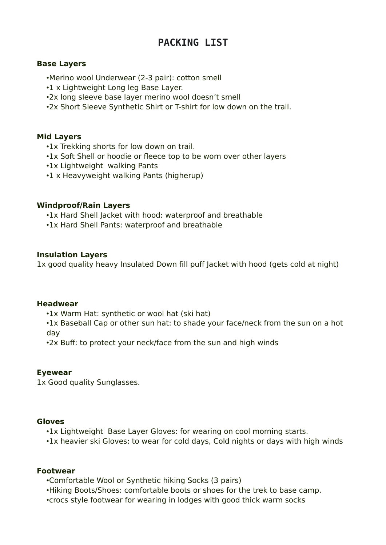# **PACKING LIST**

## **Base Layers**

- •Merino wool Underwear (2-3 pair): cotton smell
- •1 x Lightweight Long leg Base Layer.
- •2x long sleeve base layer merino wool doesn't smell
- •2x Short Sleeve Synthetic Shirt or T-shirt for low down on the trail.

## **Mid Layers**

- •1x Trekking shorts for low down on trail.
- •1x Soft Shell or hoodie or fleece top to be worn over other layers
- •1x Lightweight walking Pants
- •1 x Heavyweight walking Pants (higherup)

#### **Windproof/Rain Layers**

•1x Hard Shell Jacket with hood: waterproof and breathable

•1x Hard Shell Pants: waterproof and breathable

## **Insulation Layers**

1x good quality heavy Insulated Down fill puff Jacket with hood (gets cold at night)

#### **Headwear**

•1x Warm Hat: synthetic or wool hat (ski hat)

•1x Baseball Cap or other sun hat: to shade your face/neck from the sun on a hot day

•2x Buff: to protect your neck/face from the sun and high winds

#### **Eyewear**

1x Good quality Sunglasses.

#### **Gloves**

•1x Lightweight Base Layer Gloves: for wearing on cool morning starts.

•1x heavier ski Gloves: to wear for cold days, Cold nights or days with high winds

#### **Footwear**

•Comfortable Wool or Synthetic hiking Socks (3 pairs)

- •Hiking Boots/Shoes: comfortable boots or shoes for the trek to base camp.
- •crocs style footwear for wearing in lodges with good thick warm socks